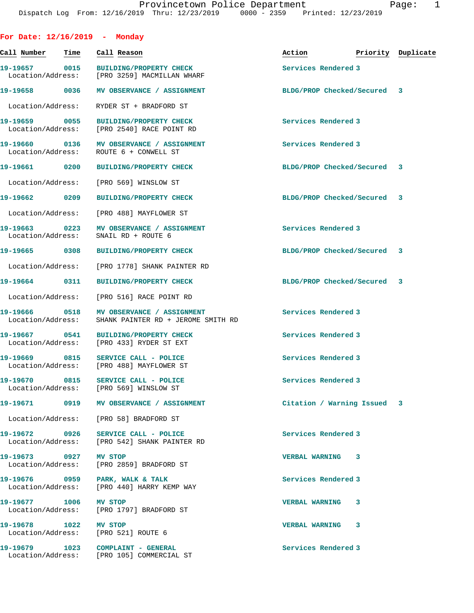| For Date: $12/16/2019$ - Monday    |                                                                                     |                                  |  |
|------------------------------------|-------------------------------------------------------------------------------------|----------------------------------|--|
| Call Number - Time                 | Call Reason                                                                         | Action <b>Priority</b> Duplicate |  |
| 19-19657 0015                      | BUILDING/PROPERTY CHECK<br>Location/Address: [PRO 3259] MACMILLAN WHARF             | Services Rendered 3              |  |
| 19-19658 0036                      | MV OBSERVANCE / ASSIGNMENT                                                          | BLDG/PROP Checked/Secured 3      |  |
| Location/Address:                  | RYDER ST + BRADFORD ST                                                              |                                  |  |
|                                    | 19-19659 0055 BUILDING/PROPERTY CHECK<br>Location/Address: [PRO 2540] RACE POINT RD | Services Rendered 3              |  |
| 19-19660 0136<br>Location/Address: | MV OBSERVANCE / ASSIGNMENT<br>ROUTE 6 + CONWELL ST                                  | Services Rendered 3              |  |
| 19-19661 0200                      | <b>BUILDING/PROPERTY CHECK</b>                                                      | BLDG/PROP Checked/Secured 3      |  |
| Location/Address:                  | [PRO 569] WINSLOW ST                                                                |                                  |  |
| 19-19662 0209                      | <b>BUILDING/PROPERTY CHECK</b>                                                      | BLDG/PROP Checked/Secured 3      |  |
| Location/Address:                  | [PRO 488] MAYFLOWER ST                                                              |                                  |  |
| 19-19663 0223<br>Location/Address: | MV OBSERVANCE / ASSIGNMENT<br>SNAIL RD + ROUTE 6                                    | Services Rendered 3              |  |
| 19-19665 0308                      | BUILDING/PROPERTY CHECK                                                             | BLDG/PROP Checked/Secured 3      |  |
| Location/Address:                  | [PRO 1778] SHANK PAINTER RD                                                         |                                  |  |
| 19-19664 0311                      | <b>BUILDING/PROPERTY CHECK</b>                                                      | BLDG/PROP Checked/Secured 3      |  |
| Location/Address:                  | [PRO 516] RACE POINT RD                                                             |                                  |  |
| 19-19666 0518<br>Location/Address: | MV OBSERVANCE / ASSIGNMENT<br>SHANK PAINTER RD + JEROME SMITH RD                    | Services Rendered 3              |  |
| Location/Address:                  | 19-19667 0541 BUILDING/PROPERTY CHECK<br>[PRO 433] RYDER ST EXT                     | Services Rendered 3              |  |
|                                    | 19-19669 0815 SERVICE CALL - POLICE<br>Location/Address: [PRO 488] MAYFLOWER ST     | Services Rendered 3              |  |
|                                    | 19-19670 0815 SERVICE CALL - POLICE<br>Location/Address: [PRO 569] WINSLOW ST       | Services Rendered 3              |  |
|                                    | 19-19671 0919 MV OBSERVANCE / ASSIGNMENT                                            | Citation / Warning Issued 3      |  |
|                                    | Location/Address: [PRO 58] BRADFORD ST                                              |                                  |  |
|                                    | 19-19672 0926 SERVICE CALL - POLICE<br>Location/Address: [PRO 542] SHANK PAINTER RD | Services Rendered 3              |  |
|                                    | Location/Address: [PRO 2859] BRADFORD ST                                            | <b>VERBAL WARNING 3</b>          |  |
| Location/Address:                  | 19-19676 0959 PARK, WALK & TALK<br>[PRO 440] HARRY KEMP WAY                         | Services Rendered 3              |  |
| 19-19677 1006 MV STOP              | Location/Address: [PRO 1797] BRADFORD ST                                            | <b>VERBAL WARNING 3</b>          |  |
| 19-19678 1022 MV STOP              | Location/Address: [PRO 521] ROUTE 6                                                 | <b>VERBAL WARNING 3</b>          |  |
|                                    | 19-19679 1023 COMPLAINT - GENERAL<br>Location/Address: [PRO 105] COMMERCIAL ST      | Services Rendered 3              |  |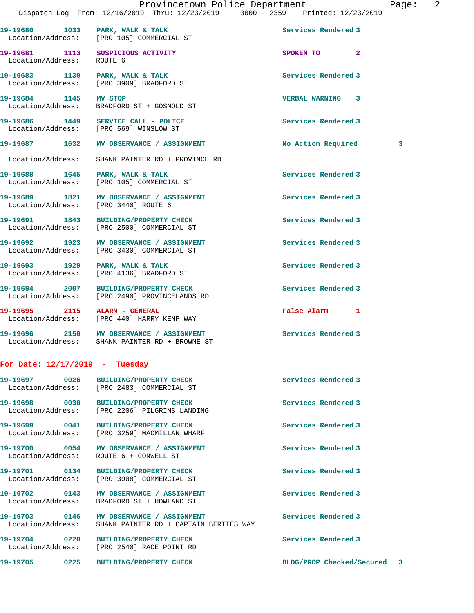Location/Address: ROUTE 6 **19-19683 1130 PARK, WALK & TALK Services Rendered 3**  Location/Address: [PRO 3909] BRADFORD ST **19-19684 1145 MV STOP VERBAL WARNING 3**  BRADFORD ST + GOSNOLD ST **19-19686 1449 SERVICE CALL - POLICE Services Rendered 3**  Location/Address: [PRO 569] WINSLOW ST

19-19680 1033 PARK, WALK & TALK **Services Rendered 3** 

**19-19681 1113 SUSPICIOUS ACTIVITY SPOKEN TO 2** 

**19-19687 1632 MV OBSERVANCE / ASSIGNMENT No Action Required 3**

Location/Address: SHANK PAINTER RD + PROVINCE RD

19-19688 1645 PARK, WALK & TALK **Services Rendered 3** Location/Address: [PRO 105] COMMERCIAL ST

Location/Address: [PRO 105] COMMERCIAL ST

19-19689 1821 MV OBSERVANCE / ASSIGNMENT **19-19689** Services Rendered 3 Location/Address: [PRO 3440] ROUTE 6

**19-19691 1843 BUILDING/PROPERTY CHECK Services Rendered 3**  Location/Address: [PRO 2500] COMMERCIAL ST

**19-19692 1923 MV OBSERVANCE / ASSIGNMENT Services Rendered 3**  Location/Address: [PRO 3430] COMMERCIAL ST

19-19693 1929 PARK, WALK & TALK 1988 PARK Services Rendered 3 Location/Address: [PRO 4136] BRADFORD ST

**19-19694 2007 BUILDING/PROPERTY CHECK Services Rendered 3**  Location/Address: [PRO 2490] PROVINCELANDS RD

**19-19695 2115 ALARM - GENERAL False Alarm 1**  [PRO 440] HARRY KEMP WAY

**19-19696 2150 MV OBSERVANCE / ASSIGNMENT Services Rendered 3**  Location/Address: SHANK PAINTER RD + BROWNE ST

## **For Date: 12/17/2019 - Tuesday**

Location/Address: [PRO 2540] RACE POINT RD

| 19-19697 0026                      | <b>BUILDING/PROPERTY CHECK</b><br>Location/Address: [PRO 2483] COMMERCIAL ST | Services Rendered 3 |
|------------------------------------|------------------------------------------------------------------------------|---------------------|
| 19-19698 0030<br>Location/Address: | <b>BUILDING/PROPERTY CHECK</b><br>[PRO 2206] PILGRIMS LANDING                | Services Rendered 3 |
| 19-19699 0041<br>Location/Address: | <b>BUILDING/PROPERTY CHECK</b><br>[PRO 3259] MACMILLAN WHARF                 | Services Rendered 3 |
| 19-19700 0054<br>Location/Address: | MV OBSERVANCE / ASSIGNMENT<br>ROUTE 6 + CONWELL ST                           | Services Rendered 3 |
| 19-19701 0134<br>Location/Address: | <b>BUILDING/PROPERTY CHECK</b><br>[PRO 3908] COMMERCIAL ST                   | Services Rendered 3 |
| 19-19702 0143<br>Location/Address: | MV OBSERVANCE / ASSIGNMENT<br>BRADFORD ST + HOWLAND ST                       | Services Rendered 3 |
| 19-19703 0146<br>Location/Address: | MV OBSERVANCE / ASSIGNMENT<br>SHANK PAINTER RD + CAPTAIN BERTIES WAY         | Services Rendered 3 |
| 19-19704<br>$\overline{0220}$      | <b>BUILDING/PROPERTY CHECK</b>                                               | Services Rendered 3 |

**19-19705 0225 BUILDING/PROPERTY CHECK BLDG/PROP Checked/Secured 3**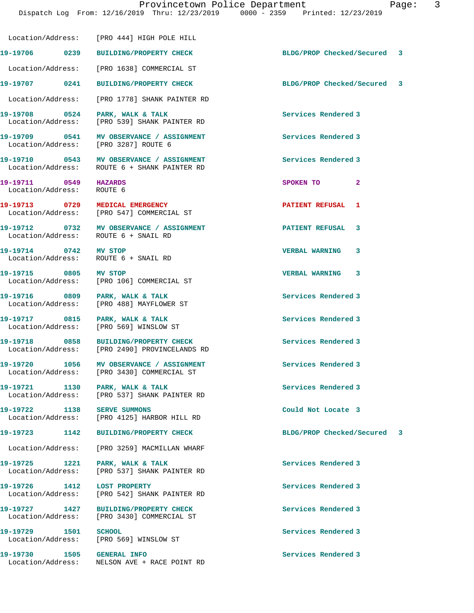Dispatch Log From: 12/16/2019 Thru: 12/23/2019 0000 - 2359 Printed: 12/23/2019 Location/Address: [PRO 444] HIGH POLE HILL **19-19706 0239 BUILDING/PROPERTY CHECK BLDG/PROP Checked/Secured 3** Location/Address: [PRO 1638] COMMERCIAL ST **19-19707 0241 BUILDING/PROPERTY CHECK BLDG/PROP Checked/Secured 3** Location/Address: [PRO 1778] SHANK PAINTER RD **19-19708 0524 PARK, WALK & TALK Services Rendered 3**  Location/Address: [PRO 539] SHANK PAINTER RD **19-19709 0541 MV OBSERVANCE / ASSIGNMENT Services Rendered 3**  Location/Address: [PRO 3287] ROUTE 6 **19-19710 0543 MV OBSERVANCE / ASSIGNMENT Services Rendered 3**  Location/Address: ROUTE 6 + SHANK PAINTER RD **19-19711 0549 HAZARDS SPOKEN TO 2**  Location/Address: ROUTE 6 **19-19713 0729 MEDICAL EMERGENCY PATIENT REFUSAL 1**  Location/Address: [PRO 547] COMMERCIAL ST **19-19712 0732 MV OBSERVANCE / ASSIGNMENT PATIENT REFUSAL 3**  Location/Address: ROUTE 6 + SNAIL RD **19-19714 0742 MV STOP VERBAL WARNING 3**  Location/Address: ROUTE 6 + SNAIL RD **19-19715 0805 MV STOP VERBAL WARNING 3**  Location/Address: [PRO 106] COMMERCIAL ST **19-19716 0809 PARK, WALK & TALK Services Rendered 3**  Location/Address: [PRO 488] MAYFLOWER ST **19-19717 0815 PARK, WALK & TALK Services Rendered 3**  Location/Address: [PRO 569] WINSLOW ST **19-19718 0858 BUILDING/PROPERTY CHECK Services Rendered 3**  Location/Address: [PRO 2490] PROVINCELANDS RD 19-19720 1056 MV OBSERVANCE / ASSIGNMENT **Services Rendered 3**  Location/Address: [PRO 3430] COMMERCIAL ST 19-19721 1130 PARK, WALK & TALK **Services Rendered** 3 Location/Address: [PRO 537] SHANK PAINTER RD **19-19722 1138 SERVE SUMMONS Could Not Locate 3**  Location/Address: [PRO 4125] HARBOR HILL RD **19-19723 1142 BUILDING/PROPERTY CHECK BLDG/PROP Checked/Secured 3** Location/Address: [PRO 3259] MACMILLAN WHARF **19-19725 1221 PARK, WALK & TALK Services Rendered 3**  Location/Address: [PRO 537] SHANK PAINTER RD **19-19726 1412 LOST PROPERTY Services Rendered 3**  Location/Address: [PRO 542] SHANK PAINTER RD **19-19727 1427 BUILDING/PROPERTY CHECK Services Rendered 3**  Location/Address: [PRO 3430] COMMERCIAL ST 19-19729 1501 SCHOOL SCHOOL SON SERVICES Rendered 3<br>
Location/Address: [PRO 569] WINSLOW ST Location/Address: **19-19730 1505 GENERAL INFO Services Rendered 3**  Location/Address: NELSON AVE + RACE POINT RD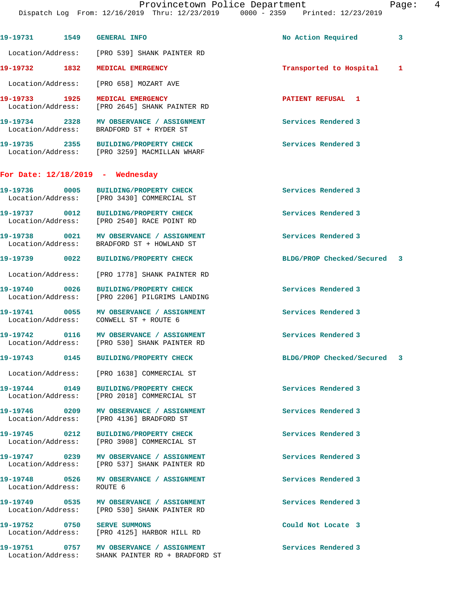|                           |                                                                                          | Provincetown Police Department<br>Pa<br>Dispatch Log From: 12/16/2019 Thru: 12/23/2019 0000 - 2359 Printed: 12/23/2019 |                         |
|---------------------------|------------------------------------------------------------------------------------------|------------------------------------------------------------------------------------------------------------------------|-------------------------|
|                           | 19-19731 1549 GENERAL INFO                                                               | No Action Required                                                                                                     | $\overline{\mathbf{3}}$ |
|                           | Location/Address: [PRO 539] SHANK PAINTER RD                                             |                                                                                                                        |                         |
| 19-19732 1832             | MEDICAL EMERGENCY                                                                        | Transported to Hospital                                                                                                | $\mathbf 1$             |
|                           | Location/Address: [PRO 658] MOZART AVE                                                   |                                                                                                                        |                         |
| 19-19733 1925             | MEDICAL EMERGENCY<br>Location/Address: [PRO 2645] SHANK PAINTER RD                       | <b>PATIENT REFUSAL 1</b>                                                                                               |                         |
|                           | 19-19734 2328 MV OBSERVANCE / ASSIGNMENT<br>Location/Address: BRADFORD ST + RYDER ST     | Services Rendered 3                                                                                                    |                         |
|                           | 19-19735 2355 BUILDING/PROPERTY CHECK<br>Location/Address: [PRO 3259] MACMILLAN WHARF    | Services Rendered 3                                                                                                    |                         |
|                           | For Date: $12/18/2019$ - Wednesday                                                       |                                                                                                                        |                         |
|                           | 19-19736 0005 BUILDING/PROPERTY CHECK<br>Location/Address: [PRO 3430] COMMERCIAL ST      | Services Rendered 3                                                                                                    |                         |
|                           | 19-19737 0012 BUILDING/PROPERTY CHECK<br>Location/Address: [PRO 2540] RACE POINT RD      | Services Rendered 3                                                                                                    |                         |
|                           | 19-19738 0021 MV OBSERVANCE / ASSIGNMENT<br>Location/Address: BRADFORD ST + HOWLAND ST   | Services Rendered 3                                                                                                    |                         |
| 19-19739 0022             | BUILDING/PROPERTY CHECK                                                                  | BLDG/PROP Checked/Secured 3                                                                                            |                         |
|                           | Location/Address: [PRO 1778] SHANK PAINTER RD                                            |                                                                                                                        |                         |
| 19-19740 0026             | BUILDING/PROPERTY CHECK<br>Location/Address: [PRO 2206] PILGRIMS LANDING                 | Services Rendered 3                                                                                                    |                         |
|                           | 19-19741 0055 MV OBSERVANCE / ASSIGNMENT<br>Location/Address: CONWELL ST + ROUTE 6       | Services Rendered 3                                                                                                    |                         |
|                           | 19-19742 0116 MV OBSERVANCE / ASSIGNMENT<br>Location/Address: [PRO 530] SHANK PAINTER RD | Services Rendered 3                                                                                                    |                         |
|                           | 19-19743 0145 BUILDING/PROPERTY CHECK                                                    | BLDG/PROP Checked/Secured 3                                                                                            |                         |
|                           | Location/Address: [PRO 1638] COMMERCIAL ST                                               |                                                                                                                        |                         |
|                           | 19-19744 0149 BUILDING/PROPERTY CHECK<br>Location/Address: [PRO 2018] COMMERCIAL ST      | Services Rendered 3                                                                                                    |                         |
|                           | 19-19746 0209 MV OBSERVANCE / ASSIGNMENT<br>Location/Address: [PRO 4136] BRADFORD ST     | Services Rendered 3                                                                                                    |                         |
| 19-19745 0212             | BUILDING/PROPERTY CHECK<br>Location/Address: [PRO 3908] COMMERCIAL ST                    | Services Rendered 3                                                                                                    |                         |
|                           | 19-19747 0239 MV OBSERVANCE / ASSIGNMENT<br>Location/Address: [PRO 537] SHANK PAINTER RD | Services Rendered 3                                                                                                    |                         |
| Location/Address: ROUTE 6 | 19-19748 0526 MV OBSERVANCE / ASSIGNMENT                                                 | Services Rendered 3                                                                                                    |                         |
|                           | 19-19749 0535 MV OBSERVANCE / ASSIGNMENT<br>Location/Address: [PRO 530] SHANK PAINTER RD | Services Rendered 3                                                                                                    |                         |
|                           | 19-19752 0750 SERVE SUMMONS<br>Location/Address: [PRO 4125] HARBOR HILL RD               | Could Not Locate 3                                                                                                     |                         |
|                           |                                                                                          |                                                                                                                        |                         |

19-19751 0757 MV OBSERVANCE / ASSIGNMENT Services Rendered 3

Location/Address: SHANK PAINTER RD + BRADFORD ST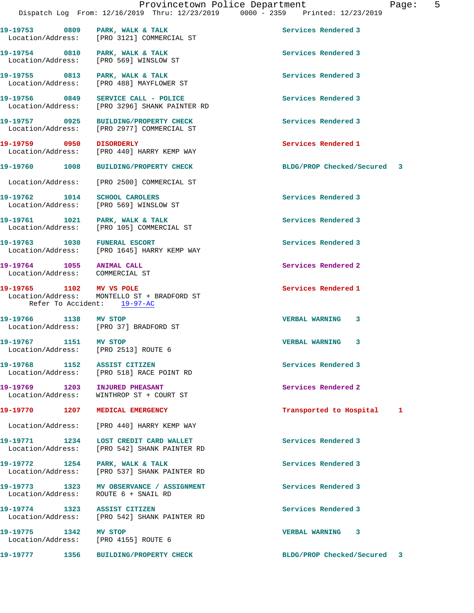19-19753 0809 PARK, WALK & TALK **Services Rendered 3** 

**19-19754 0810 PARK, WALK & TALK Services Rendered 3** 

Location/Address: [PRO 3121] COMMERCIAL ST

Location/Address: [PRO 569] WINSLOW ST

**19-19755 0813 PARK, WALK & TALK Services Rendered 3**  Location/Address: [PRO 488] MAYFLOWER ST 19-19756 0849 SERVICE CALL - POLICE **Services** Rendered 3 Location/Address: [PRO 3296] SHANK PAINTER RD **19-19757 0925 BUILDING/PROPERTY CHECK Services Rendered 3**  Location/Address: [PRO 2977] COMMERCIAL ST **19-19759 0950 DISORDERLY Services Rendered 1**  Location/Address: [PRO 440] HARRY KEMP WAY **19-19760 1008 BUILDING/PROPERTY CHECK BLDG/PROP Checked/Secured 3** Location/Address: [PRO 2500] COMMERCIAL ST **19-19762 1014 SCHOOL CAROLERS Services Rendered 3**  Location/Address: [PRO 569] WINSLOW ST 19-19761 1021 PARK, WALK & TALK **Services Rendered 3**  Location/Address: [PRO 105] COMMERCIAL ST **19-19763 1030 FUNERAL ESCORT Services Rendered 3**  Location/Address: [PRO 1645] HARRY KEMP WAY 19-19764 1055 ANIMAL CALL **19-19764** Services Rendered 2 Location/Address: COMMERCIAL ST **19-19765 1102 MV VS POLE Services Rendered 1**  Location/Address: MONTELLO ST + BRADFORD ST Refer To Accident: 19-97-AC **19-19766 1138 MV STOP VERBAL WARNING 3**  Location/Address: [PRO 37] BRADFORD ST **19-19767 1151 MV STOP VERBAL WARNING 3**  Location/Address: [PRO 2513] ROUTE 6 **19-19768 1152 ASSIST CITIZEN Services Rendered 3**  Location/Address: [PRO 518] RACE POINT RD 19-19769 1203 INJURED PHEASANT **19-19769** Services Rendered 2 Location/Address: WINTHROP ST + COURT ST **19-19770 1207 MEDICAL EMERGENCY Transported to Hospital 1** Location/Address: [PRO 440] HARRY KEMP WAY 19-19771 1234 LOST CREDIT CARD WALLET **120 Services Rendered 3**  Location/Address: [PRO 542] SHANK PAINTER RD 19-19772 1254 PARK, WALK & TALK **Services Rendered 3**  Location/Address: [PRO 537] SHANK PAINTER RD 19-19773 1323 MV OBSERVANCE / ASSIGNMENT **Services Rendered 3**  Location/Address: ROUTE 6 + SNAIL RD **19-19774 1323 ASSIST CITIZEN Services Rendered 3**  Location/Address: [PRO 542] SHANK PAINTER RD **19-19775 1342 MV STOP VERBAL WARNING 3**  Location/Address: [PRO 4155] ROUTE 6 **19-19777 1356 BUILDING/PROPERTY CHECK BLDG/PROP Checked/Secured 3**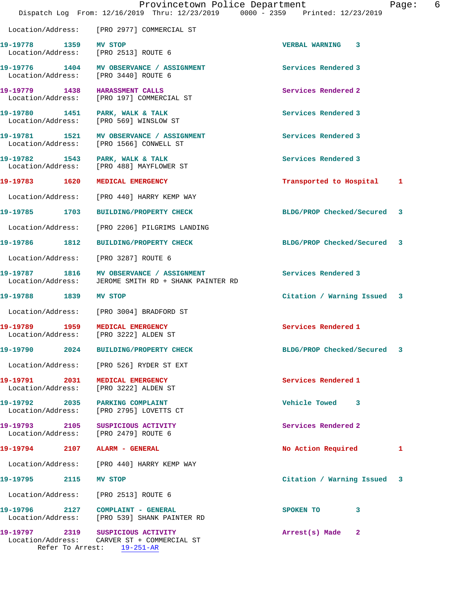|                                    |      | Provincetown Police Department<br>Dispatch Log From: 12/16/2019 Thru: 12/23/2019 0000 - 2359 Printed: 12/23/2019 |                                | 6<br>Page: |
|------------------------------------|------|------------------------------------------------------------------------------------------------------------------|--------------------------------|------------|
|                                    |      | Location/Address: [PRO 2977] COMMERCIAL ST                                                                       |                                |            |
| 19-19778 1359 MV STOP              |      | Location/Address: [PRO 2513] ROUTE 6                                                                             | VERBAL WARNING 3               |            |
|                                    |      | 19-19776 1404 MV OBSERVANCE / ASSIGNMENT<br>Location/Address: [PRO 3440] ROUTE 6                                 | Services Rendered 3            |            |
|                                    |      | 19-19779 1438 HARASSMENT CALLS<br>Location/Address: [PRO 197] COMMERCIAL ST                                      | Services Rendered 2            |            |
|                                    |      | 19-19780 1451 PARK, WALK & TALK<br>Location/Address: [PRO 569] WINSLOW ST                                        | Services Rendered 3            |            |
|                                    |      | 19-19781 1521 MV OBSERVANCE / ASSIGNMENT<br>Location/Address: [PRO 1566] CONWELL ST                              | Services Rendered 3            |            |
|                                    |      | 19-19782 1543 PARK, WALK & TALK<br>Location/Address: [PRO 488] MAYFLOWER ST                                      | Services Rendered 3            |            |
|                                    |      | 19-19783 1620 MEDICAL EMERGENCY                                                                                  | Transported to Hospital        | 1          |
|                                    |      | Location/Address: [PRO 440] HARRY KEMP WAY                                                                       |                                |            |
| 19-19785 1703                      |      | <b>BUILDING/PROPERTY CHECK</b>                                                                                   | BLDG/PROP Checked/Secured      | 3          |
|                                    |      | Location/Address: [PRO 2206] PILGRIMS LANDING                                                                    |                                |            |
| 19-19786 1812                      |      | <b>BUILDING/PROPERTY CHECK</b>                                                                                   | BLDG/PROP Checked/Secured 3    |            |
|                                    |      | Location/Address: [PRO 3287] ROUTE 6                                                                             |                                |            |
| Location/Address:                  |      | 19-19787 1816 MV OBSERVANCE / ASSIGNMENT<br>JEROME SMITH RD + SHANK PAINTER RD                                   | Services Rendered 3            |            |
| 19-19788 1839 MV STOP              |      |                                                                                                                  | Citation / Warning Issued 3    |            |
|                                    |      | Location/Address: [PRO 3004] BRADFORD ST                                                                         |                                |            |
|                                    |      | 19-19789 1959 MEDICAL EMERGENCY<br>Location/Address: [PRO 3222] ALDEN ST                                         | Services Rendered 1            |            |
| 19-19790                           | 2024 | <b>BUILDING/PROPERTY CHECK</b>                                                                                   | BLDG/PROP Checked/Secured      | 3          |
| Location/Address:                  |      | [PRO 526] RYDER ST EXT                                                                                           |                                |            |
| 19-19791 2031<br>Location/Address: |      | MEDICAL EMERGENCY<br>[PRO 3222] ALDEN ST                                                                         | Services Rendered 1            |            |
| 19-19792 2035<br>Location/Address: |      | PARKING COMPLAINT<br>[PRO 2795] LOVETTS CT                                                                       | Vehicle Towed 3                |            |
| 19-19793 2105                      |      | SUSPICIOUS ACTIVITY<br>Location/Address: [PRO 2479] ROUTE 6                                                      | Services Rendered 2            |            |
| 19-19794                           | 2107 | ALARM - GENERAL                                                                                                  | No Action Required             | ı          |
|                                    |      | Location/Address: [PRO 440] HARRY KEMP WAY                                                                       |                                |            |
| 19-19795                           | 2115 | MV STOP                                                                                                          | Citation / Warning Issued      | 3          |
| Location/Address:                  |      | [PRO 2513] ROUTE 6                                                                                               |                                |            |
| 19-19796<br>Location/Address:      |      | 2127 COMPLAINT - GENERAL<br>[PRO 539] SHANK PAINTER RD                                                           | 3<br>SPOKEN TO                 |            |
| 19-19797                           |      | 2319 SUSPICIOUS ACTIVITY<br>Location/Address: CARVER ST + COMMERCIAL ST<br>Refer To Arrest: 19-251-AR            | Arrest(s) Made<br>$\mathbf{2}$ |            |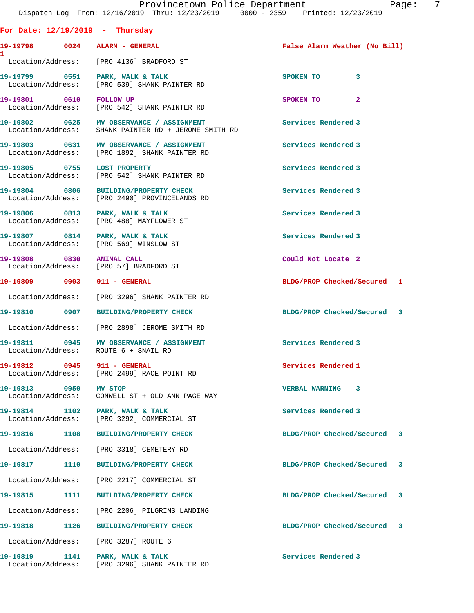## **For Date: 12/19/2019 - Thursday**

| 19-19798<br>1     | 0024 | AL. |
|-------------------|------|-----|
| Location/Address: |      | [P] |

**19-19798 0024 ALARM - GENERAL False Alarm Weather (No Bill)** RO 4136] BRADFORD ST 19-19799 0551 PARK, WALK & TALK **SPOKEN TO** 3 Location/Address: [PRO 539] SHANK PAINTER RD **19-19801** 0610 FOLLOW UP 3POKEN TO 2 Location/Address: [PRO 542] SHANK PAINTER RD 19-19802 **0625** MV OBSERVANCE / ASSIGNMENT Services Rendered 3 Location/Address: SHANK PAINTER RD + JEROME SMITH RD

**19-19803 0631 MV OBSERVANCE / ASSIGNMENT Services Rendered 3**  Location/Address: [PRO 1892] SHANK PAINTER RD

**19-19805 0755 LOST PROPERTY Services Rendered 3**  Location/Address: [PRO 542] SHANK PAINTER RD

**19-19804 0806 BUILDING/PROPERTY CHECK Services Rendered 3**  Location/Address: [PRO 2490] PROVINCELANDS RD

Location/Address: [PRO 488] MAYFLOWER ST

**19-19807 0814 PARK, WALK & TALK Services Rendered 3**  Location/Address: [PRO 569] WINSLOW ST

**19-19808 0830 ANIMAL CALL Could Not Locate 2**  Location/Address: [PRO 57] BRADFORD ST

Location/Address: [PRO 3296] SHANK PAINTER RD

**19-19810 0907 BUILDING/PROPERTY CHECK BLDG/PROP Checked/Secured 3**

Location/Address: [PRO 2898] JEROME SMITH RD

19-19811 **19-19811** 0945 MV OBSERVANCE / ASSIGNMENT **Services Rendered 3** Location/Address: ROUTE 6 + SNAIL RD

**19-19812 0945 911 - GENERAL Services Rendered 1**  Location/Address: [PRO 2499] RACE POINT RD

**19-19813 0950 MV STOP VERBAL WARNING 3**  Location/Address: CONWELL ST + OLD ANN PAGE WAY

**19-19814 1102 PARK, WALK & TALK Services Rendered 3**  Location/Address: [PRO 3292] COMMERCIAL ST

Location/Address: [PRO 3318] CEMETERY RD

Location/Address: [PRO 2217] COMMERCIAL ST

Location/Address: [PRO 2206] PILGRIMS LANDING

Location/Address: [PRO 3287] ROUTE 6

Location/Address: [PRO 3296] SHANK PAINTER RD

19-19806 0813 PARK, WALK & TALK **Services Rendered 3** 

**19-19809 0903 911 - GENERAL BLDG/PROP Checked/Secured 1**

**19-19816 1108 BUILDING/PROPERTY CHECK BLDG/PROP Checked/Secured 3**

**19-19817 1110 BUILDING/PROPERTY CHECK BLDG/PROP Checked/Secured 3**

**19-19815 1111 BUILDING/PROPERTY CHECK BLDG/PROP Checked/Secured 3**

**19-19818 1126 BUILDING/PROPERTY CHECK BLDG/PROP Checked/Secured 3**

**19-19819 1141 PARK, WALK & TALK Services Rendered 3**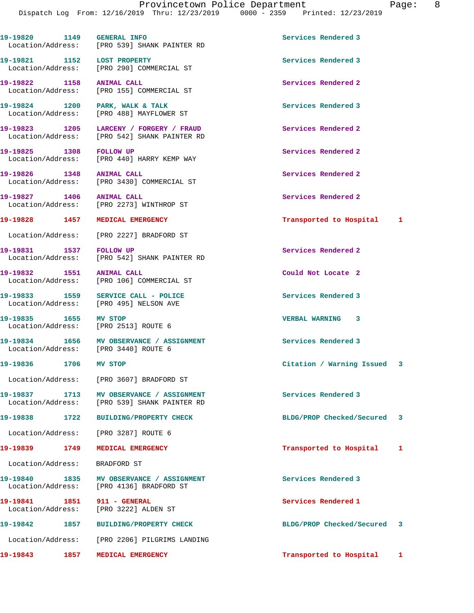**19-19820 1149 GENERAL INFO Services Rendered 3** 

 Location/Address: [PRO 539] SHANK PAINTER RD **19-19821 1152 LOST PROPERTY Services Rendered 3**  Location/Address: [PRO 290] COMMERCIAL ST **19-19822 1158 ANIMAL CALL Services Rendered 2**  Location/Address: [PRO 155] COMMERCIAL ST 19-19824 1200 PARK, WALK & TALK **Services Rendered 3**  Location/Address: [PRO 488] MAYFLOWER ST **19-19823 1205 LARCENY / FORGERY / FRAUD Services Rendered 2**  Location/Address: [PRO 542] SHANK PAINTER RD 19-19825 1308 FOLLOW UP **19-19825** 1308 Services Rendered 2 Location/Address: [PRO 440] HARRY KEMP WAY **19-19826 1348 ANIMAL CALL Services Rendered 2**  Location/Address: [PRO 3430] COMMERCIAL ST **19-19827 1406 ANIMAL CALL Services Rendered 2**  [PRO 2273] WINTHROP ST **19-19828 1457 MEDICAL EMERGENCY Transported to Hospital 1** Location/Address: [PRO 2227] BRADFORD ST **19-19831 1537 FOLLOW UP Services Rendered 2**  Location/Address: [PRO 542] SHANK PAINTER RD **19-19832 1551 ANIMAL CALL Could Not Locate 2**  Location/Address: [PRO 106] COMMERCIAL ST **19-19833 1559 SERVICE CALL - POLICE Services Rendered 3**  Location/Address: [PRO 495] NELSON AVE **19-19835 1655 MV STOP VERBAL WARNING 3**  Location/Address: [PRO 2513] ROUTE 6 19-19834 1656 MV OBSERVANCE / ASSIGNMENT **Services Rendered 3**  Location/Address: [PRO 3440] ROUTE 6 **19-19836 1706 MV STOP Citation / Warning Issued 3** Location/Address: [PRO 3607] BRADFORD ST **19-19837 1713 MV OBSERVANCE / ASSIGNMENT Services Rendered 3**  [PRO 539] SHANK PAINTER RD **19-19838 1722 BUILDING/PROPERTY CHECK BLDG/PROP Checked/Secured 3** Location/Address: [PRO 3287] ROUTE 6 **19-19839 1749 MEDICAL EMERGENCY Transported to Hospital 1** Location/Address: BRADFORD ST **19-19840 1835 MV OBSERVANCE / ASSIGNMENT Services Rendered 3**  Location/Address: [PRO 4136] BRADFORD ST **19-19841 1851 911 - GENERAL Services Rendered 1**  Location/Address: [PRO 3222] ALDEN ST **19-19842 1857 BUILDING/PROPERTY CHECK BLDG/PROP Checked/Secured 3** Location/Address: [PRO 2206] PILGRIMS LANDING **19-19843 1857 MEDICAL EMERGENCY Transported to Hospital 1**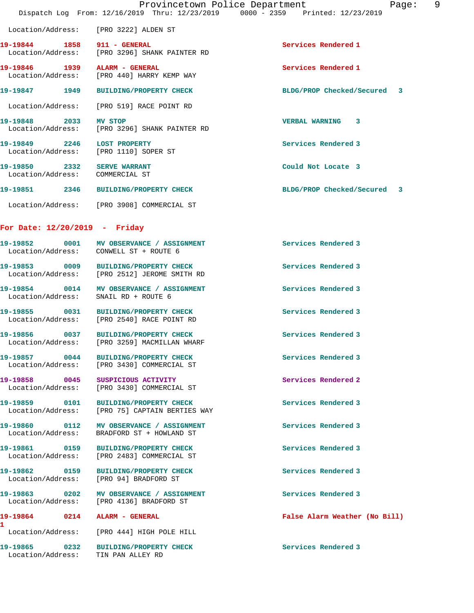|                                    |      | Provincetown Police Department                                                 |                                       | Page: | 9 |
|------------------------------------|------|--------------------------------------------------------------------------------|---------------------------------------|-------|---|
|                                    |      | Dispatch Log From: 12/16/2019 Thru: 12/23/2019 0000 - 2359 Printed: 12/23/2019 |                                       |       |   |
|                                    |      | Location/Address: [PRO 3222] ALDEN ST                                          |                                       |       |   |
| 19-19844 1858 911 - GENERAL        |      | Location/Address: [PRO 3296] SHANK PAINTER RD                                  | Services Rendered 1                   |       |   |
| 19-19846 1939                      |      | ALARM - GENERAL<br>Location/Address: [PRO 440] HARRY KEMP WAY                  | Services Rendered 1                   |       |   |
| 19-19847 1949                      |      | <b>BUILDING/PROPERTY CHECK</b>                                                 | BLDG/PROP Checked/Secured             | -3    |   |
|                                    |      | Location/Address: [PRO 519] RACE POINT RD                                      |                                       |       |   |
| 19-19848 2033                      |      | <b>MV STOP</b><br>Location/Address: [PRO 3296] SHANK PAINTER RD                | <b>VERBAL WARNING</b><br>$\mathbf{3}$ |       |   |
| 19-19849 2246<br>Location/Address: |      | <b>LOST PROPERTY</b><br>[PRO 1110] SOPER ST                                    | Services Rendered 3                   |       |   |
| 19-19850<br>Location/Address:      | 2332 | <b>SERVE WARRANT</b><br>COMMERCIAL ST                                          | Could Not Locate 3                    |       |   |
| 19-19851                           | 2346 | <b>BUILDING/PROPERTY CHECK</b>                                                 | BLDG/PROP Checked/Secured             | 3     |   |
|                                    |      |                                                                                |                                       |       |   |

Location/Address: [PRO 3908] COMMERCIAL ST

## **For Date: 12/20/2019 - Friday**

Location/Address: TIN PAN ALLEY RD

| 19-19852 0001                      | MV OBSERVANCE / ASSIGNMENT<br>Location/Address: CONWELL ST + ROUTE 6      | Services Rendered 3           |
|------------------------------------|---------------------------------------------------------------------------|-------------------------------|
| 19-19853 0009                      | BUILDING/PROPERTY CHECK<br>Location/Address: [PRO 2512] JEROME SMITH RD   | Services Rendered 3           |
| 19-19854 0014<br>Location/Address: | MV OBSERVANCE / ASSIGNMENT<br>SNAIL RD + ROUTE 6                          | Services Rendered 3           |
| 19-19855 0031<br>Location/Address: | <b>BUILDING/PROPERTY CHECK</b><br>[PRO 2540] RACE POINT RD                | Services Rendered 3           |
| 19-19856 0037                      | BUILDING/PROPERTY CHECK<br>Location/Address: [PRO 3259] MACMILLAN WHARF   | Services Rendered 3           |
| 19-19857 0044                      | BUILDING/PROPERTY CHECK<br>Location/Address: [PRO 3430] COMMERCIAL ST     | Services Rendered 3           |
| 19-19858 0045                      | SUSPICIOUS ACTIVITY<br>Location/Address: [PRO 3430] COMMERCIAL ST         | Services Rendered 2           |
| 19-19859 0101                      | BUILDING/PROPERTY CHECK<br>Location/Address: [PRO 75] CAPTAIN BERTIES WAY | Services Rendered 3           |
| 19-19860 0112                      | MV OBSERVANCE / ASSIGNMENT<br>Location/Address: BRADFORD ST + HOWLAND ST  | Services Rendered 3           |
| 19-19861 0159                      | BUILDING/PROPERTY CHECK<br>Location/Address: [PRO 2483] COMMERCIAL ST     | Services Rendered 3           |
| 19-19862 0159                      | <b>BUILDING/PROPERTY CHECK</b><br>Location/Address: [PRO 94] BRADFORD ST  | Services Rendered 3           |
| 19-19863 0202                      | MV OBSERVANCE / ASSIGNMENT<br>Location/Address: [PRO 4136] BRADFORD ST    | Services Rendered 3           |
|                                    |                                                                           | False Alarm Weather (No Bill) |
|                                    | Location/Address: [PRO 444] HIGH POLE HILL                                |                               |
| 19-19865 0232                      | <b>BUILDING/PROPERTY CHECK</b>                                            | Services Rendered 3           |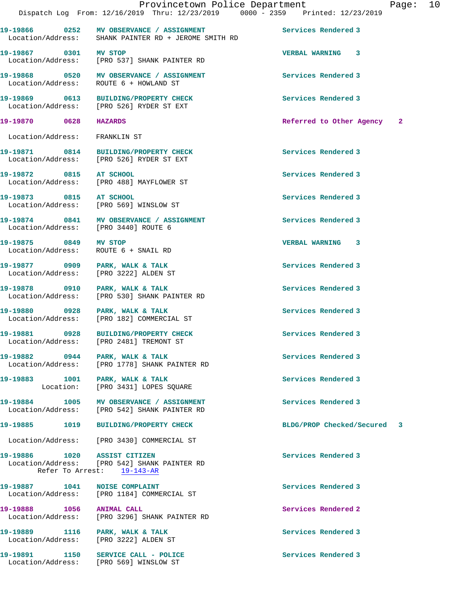**19-19866 0252 MV OBSERVANCE / ASSIGNMENT Services Rendered 3**  Location/Address: SHANK PAINTER RD + JEROME SMITH RD **19-19867 0301 MV STOP VERBAL WARNING 3**  Location/Address: [PRO 537] SHANK PAINTER RD **19-19868 0520 MV OBSERVANCE / ASSIGNMENT Services Rendered 3**  Location/Address: ROUTE 6 + HOWLAND ST **19-19869 0613 BUILDING/PROPERTY CHECK Services Rendered 3**  Location/Address: [PRO 526] RYDER ST EXT **19-19870 0628 HAZARDS Referred to Other Agency 2** Location/Address: FRANKLIN ST 19-19871 0814 BUILDING/PROPERTY CHECK Services Rendered 3 Location/Address: [PRO 526] RYDER ST EXT **19-19872 0815 AT SCHOOL Services Rendered 3**  Location/Address: [PRO 488] MAYFLOWER ST **19-19873 0815 AT SCHOOL Services Rendered 3**  Location/Address: [PRO 569] WINSLOW ST 19-19874 0841 MV OBSERVANCE / ASSIGNMENT Services Rendered 3 Location/Address: [PRO 3440] ROUTE 6 **19-19875 0849 MV STOP VERBAL WARNING 3**  Location/Address: ROUTE 6 + SNAIL RD 19-19877 0909 PARK, WALK & TALK **Services Rendered 3**  Location/Address: [PRO 3222] ALDEN ST **19-19878 0910 PARK, WALK & TALK Services Rendered 3**  Location/Address: [PRO 530] SHANK PAINTER RD **19-19880 0928 PARK, WALK & TALK Services Rendered 3**  [PRO 182] COMMERCIAL ST **19-19881 0928 BUILDING/PROPERTY CHECK Services Rendered 3**  Location/Address: [PRO 2481] TREMONT ST **19-19882 0944 PARK, WALK & TALK Services Rendered 3**  Location/Address: [PRO 1778] SHANK PAINTER RD

19-19883 1001 PARK, WALK & TALK **Services Rendered 3** Location: [PRO 3431] LOPES SQUARE

**19-19884 1005 MV OBSERVANCE / ASSIGNMENT Services Rendered 3**  Location/Address: [PRO 542] SHANK PAINTER RD

**19-19885 1019 BUILDING/PROPERTY CHECK BLDG/PROP Checked/Secured 3**

Location/Address: [PRO 3430] COMMERCIAL ST

**19-19886 1020 ASSIST CITIZEN Services Rendered 3**  Location/Address: [PRO 542] SHANK PAINTER RD Refer To Arrest: 19-143-AR

**19-19887 1041 NOISE COMPLAINT Services Rendered 3**  Location/Address: [PRO 1184] COMMERCIAL ST

**19-19888 1056 ANIMAL CALL Services Rendered 2**  Location/Address: [PRO 3296] SHANK PAINTER RD

19-19889 1116 PARK, WALK & TALK **Services Rendered 3** Location/Address: [PRO 3222] ALDEN ST

Location/Address: [PRO 569] WINSLOW ST

**19-19891 1150 SERVICE CALL - POLICE Services Rendered 3**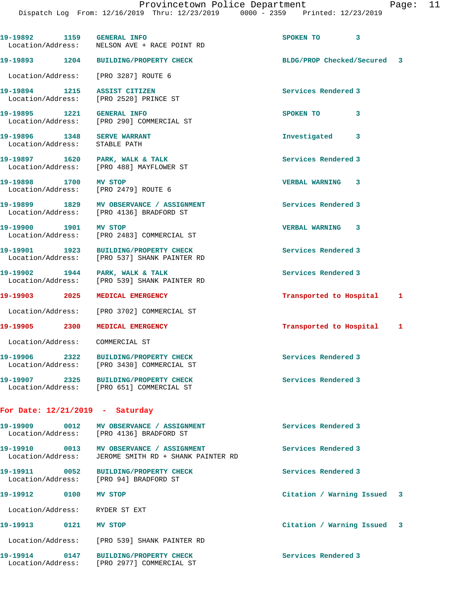**19-19892 1159 GENERAL INFO SPOKEN TO 3**  Location/Address: NELSON AVE + RACE POINT RD **19-19893 1204 BUILDING/PROPERTY CHECK BLDG/PROP Checked/Secured 3** Location/Address: [PRO 3287] ROUTE 6 **19-19894 1215 ASSIST CITIZEN Services Rendered 3**  Location/Address: [PRO 2520] PRINCE ST **19-19895 1221 GENERAL INFO SPOKEN TO 3**  Location/Address: [PRO 290] COMMERCIAL ST **19-19896 1348 SERVE WARRANT Investigated 3**  Location/Address: STABLE PATH 19-19897 1620 PARK, WALK & TALK **Services Rendered 3**  Location/Address: [PRO 488] MAYFLOWER ST **19-19898 1700 MV STOP VERBAL WARNING 3**  Location/Address: [PRO 2479] ROUTE 6 19-19899 1829 MV OBSERVANCE / ASSIGNMENT **Services Rendered 3**  Location/Address: [PRO 4136] BRADFORD ST **19-19900 1901 MV STOP VERBAL WARNING 3**  Location/Address: [PRO 2483] COMMERCIAL ST 19-19901 1923 BUILDING/PROPERTY CHECK Services Rendered 3 Location/Address: [PRO 537] SHANK PAINTER RD 19-19902 1944 PARK, WALK & TALK **Services Rendered 3**  Location/Address: [PRO 539] SHANK PAINTER RD **19-19903 2025 MEDICAL EMERGENCY Transported to Hospital 1** Location/Address: [PRO 3702] COMMERCIAL ST **19-19905 2300 MEDICAL EMERGENCY Transported to Hospital 1** Location/Address: COMMERCIAL ST **19-19906 2322 BUILDING/PROPERTY CHECK Services Rendered 3**  Location/Address: [PRO 3430] COMMERCIAL ST **19-19907 2325 BUILDING/PROPERTY CHECK Services Rendered 3**  Location/Address: [PRO 651] COMMERCIAL ST **For Date: 12/21/2019 - Saturday 19-19909 0012 MV OBSERVANCE / ASSIGNMENT Services Rendered 3**  Location/Address: [PRO 4136] BRADFORD ST **19-19910 0013 MV OBSERVANCE / ASSIGNMENT Services Rendered 3**  Location/Address: JEROME SMITH RD + SHANK PAINTER RD **19-19911 0052 BUILDING/PROPERTY CHECK Services Rendered 3**  Location/Address: [PRO 94] BRADFORD ST **19-19912 0100 MV STOP Citation / Warning Issued 3** Location/Address: RYDER ST EXT **19-19913 0121 MV STOP Citation / Warning Issued 3** Location/Address: [PRO 539] SHANK PAINTER RD **19-19914 0147 BUILDING/PROPERTY CHECK Services Rendered 3**  Location/Address: [PRO 2977] COMMERCIAL ST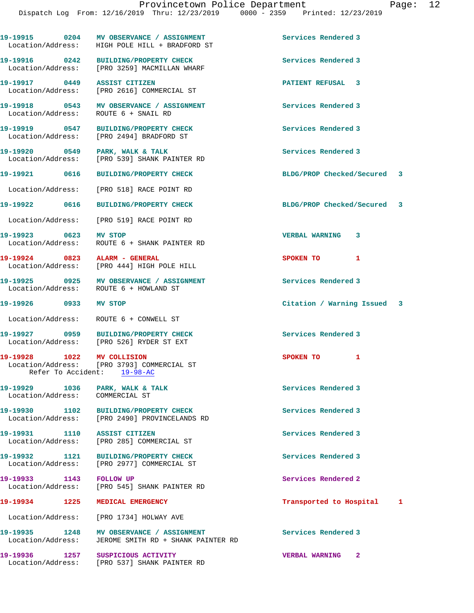|                                                                    | 19-19915 0204 MV OBSERVANCE / ASSIGNMENT<br>Location/Address: HIGH POLE HILL + BRADFORD ST | Services Rendered 3         |  |
|--------------------------------------------------------------------|--------------------------------------------------------------------------------------------|-----------------------------|--|
|                                                                    | 19-19916 0242 BUILDING/PROPERTY CHECK<br>Location/Address: [PRO 3259] MACMILLAN WHARF      | Services Rendered 3         |  |
| 19-19917 0449 ASSIST CITIZEN                                       | Location/Address: [PRO 2616] COMMERCIAL ST                                                 | <b>PATIENT REFUSAL 3</b>    |  |
|                                                                    | 19-19918 0543 MV OBSERVANCE / ASSIGNMENT<br>Location/Address: ROUTE 6 + SNAIL RD           | Services Rendered 3         |  |
|                                                                    | 19-19919 0547 BUILDING/PROPERTY CHECK<br>Location/Address: [PRO 2494] BRADFORD ST          | Services Rendered 3         |  |
|                                                                    | 19-19920 0549 PARK, WALK & TALK<br>Location/Address: [PRO 539] SHANK PAINTER RD            | Services Rendered 3         |  |
|                                                                    | 19-19921 0616 BUILDING/PROPERTY CHECK                                                      | BLDG/PROP Checked/Secured 3 |  |
|                                                                    | Location/Address: [PRO 518] RACE POINT RD                                                  |                             |  |
|                                                                    | 19-19922 0616 BUILDING/PROPERTY CHECK                                                      | BLDG/PROP Checked/Secured 3 |  |
|                                                                    | Location/Address: [PRO 519] RACE POINT RD                                                  |                             |  |
| 19-19923 0623 MV STOP                                              | Location/Address: ROUTE 6 + SHANK PAINTER RD                                               | <b>VERBAL WARNING 3</b>     |  |
| 19-19924 0823 ALARM - GENERAL                                      | Location/Address: [PRO 444] HIGH POLE HILL                                                 | SPOKEN TO 1                 |  |
|                                                                    | 19-19925 0925 MV OBSERVANCE / ASSIGNMENT<br>Location/Address: ROUTE 6 + HOWLAND ST         | Services Rendered 3         |  |
| 19-19926 0933 MV STOP                                              |                                                                                            | Citation / Warning Issued 3 |  |
|                                                                    | Location/Address: ROUTE 6 + CONWELL ST                                                     |                             |  |
|                                                                    | 19-19927 0959 BUILDING/PROPERTY CHECK<br>Location/Address: [PRO 526] RYDER ST EXT          | Services Rendered 3         |  |
| 19-19928 1022 MV COLLISION                                         | Location/Address: [PRO 3793] COMMERCIAL ST<br>Refer To Accident: 19-98-AC                  | 1<br>SPOKEN TO              |  |
| 19-19929 1036 PARK, WALK & TALK<br>Location/Address: COMMERCIAL ST |                                                                                            | Services Rendered 3         |  |
| 19-19930 1102<br>Location/Address:                                 | BUILDING/PROPERTY CHECK<br>[PRO 2490] PROVINCELANDS RD                                     | Services Rendered 3         |  |
| 19-19931 1110                                                      | <b>ASSIST CITIZEN</b><br>Location/Address: [PRO 285] COMMERCIAL ST                         | Services Rendered 3         |  |
| 19-19932 1121<br>Location/Address:                                 | <b>BUILDING/PROPERTY CHECK</b><br>[PRO 2977] COMMERCIAL ST                                 | Services Rendered 3         |  |
| 19-19933 1143 FOLLOW UP                                            | Location/Address: [PRO 545] SHANK PAINTER RD                                               | Services Rendered 2         |  |
| 19-19934 1225                                                      | MEDICAL EMERGENCY                                                                          | Transported to Hospital 1   |  |
| Location/Address:                                                  | [PRO 1734] HOLWAY AVE                                                                      |                             |  |
| 19-19935 1248<br>Location/Address:                                 | MV OBSERVANCE / ASSIGNMENT<br>JEROME SMITH RD + SHANK PAINTER RD                           | Services Rendered 3         |  |
| 19-19936 1257                                                      | SUSPICIOUS ACTIVITY<br>Location/Address: [PRO 537] SHANK PAINTER RD                        | <b>VERBAL WARNING 2</b>     |  |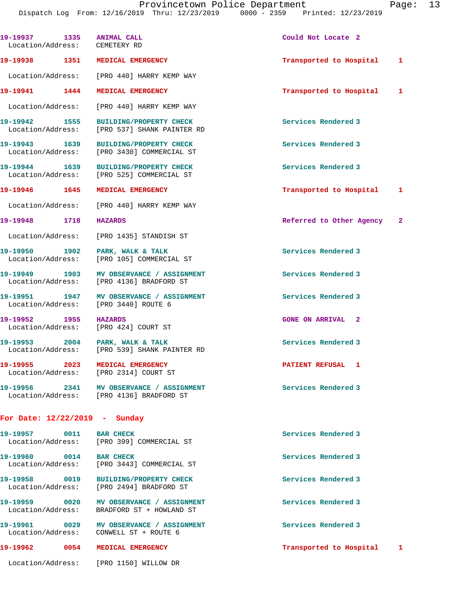| 19-19937 1335 ANIMAL CALL<br>Location/Address: CEMETERY RD |                                                                                        | Could Not Locate 2         |  |
|------------------------------------------------------------|----------------------------------------------------------------------------------------|----------------------------|--|
|                                                            | 19-19938 1351 MEDICAL EMERGENCY                                                        | Transported to Hospital 1  |  |
|                                                            | Location/Address: [PRO 440] HARRY KEMP WAY                                             |                            |  |
|                                                            | 19-19941 1444 MEDICAL EMERGENCY                                                        | Transported to Hospital 1  |  |
|                                                            | Location/Address: [PRO 440] HARRY KEMP WAY                                             |                            |  |
|                                                            | 19-19942 1555 BUILDING/PROPERTY CHECK<br>Location/Address: [PRO 537] SHANK PAINTER RD  | Services Rendered 3        |  |
|                                                            | 19-19943 1639 BUILDING/PROPERTY CHECK<br>Location/Address: [PRO 3430] COMMERCIAL ST    | Services Rendered 3        |  |
|                                                            | 19-19944 1639 BUILDING/PROPERTY CHECK<br>Location/Address: [PRO 525] COMMERCIAL ST     | Services Rendered 3        |  |
|                                                            | 19-19946 1645 MEDICAL EMERGENCY                                                        | Transported to Hospital 1  |  |
|                                                            | Location/Address: [PRO 440] HARRY KEMP WAY                                             |                            |  |
| 19-19948 1718 HAZARDS                                      |                                                                                        | Referred to Other Agency 2 |  |
|                                                            | Location/Address: [PRO 1435] STANDISH ST                                               |                            |  |
|                                                            | 19-19950 1902 PARK, WALK & TALK<br>Location/Address: [PRO 105] COMMERCIAL ST           | Services Rendered 3        |  |
|                                                            | 19-19949 1903 MV OBSERVANCE / ASSIGNMENT<br>Location/Address: [PRO 4136] BRADFORD ST   | Services Rendered 3        |  |
|                                                            | 19-19951 1947 MV OBSERVANCE / ASSIGNMENT<br>Location/Address: [PRO 3440] ROUTE 6       | Services Rendered 3        |  |
| 19-19952 1955 HAZARDS                                      | Location/Address: [PRO 424] COURT ST                                                   | <b>GONE ON ARRIVAL 2</b>   |  |
|                                                            | 19-19953 2004 PARK, WALK & TALK<br>Location/Address: [PRO 539] SHANK PAINTER RD        | Services Rendered 3        |  |
|                                                            | 19-19955 2023 MEDICAL EMERGENCY<br>Location/Address: [PRO 2314] COURT ST               | PATIENT REFUSAL 1          |  |
|                                                            | 19-19956 2341 MV OBSERVANCE / ASSIGNMENT<br>Location/Address: [PRO 4136] BRADFORD ST   | Services Rendered 3        |  |
| For Date: $12/22/2019$ - Sunday                            |                                                                                        |                            |  |
| 19-19957 0011 BAR CHECK                                    | Location/Address: [PRO 399] COMMERCIAL ST                                              | Services Rendered 3        |  |
| 19-19960 0014 BAR CHECK                                    | Location/Address: [PRO 3443] COMMERCIAL ST                                             | Services Rendered 3        |  |
|                                                            | 19-19958 0019 BUILDING/PROPERTY CHECK<br>Location/Address: [PRO 2494] BRADFORD ST      | Services Rendered 3        |  |
|                                                            | 19-19959 0020 MV OBSERVANCE / ASSIGNMENT<br>Location/Address: BRADFORD ST + HOWLAND ST | Services Rendered 3        |  |
|                                                            | 19-19961 0029 MV OBSERVANCE / ASSIGNMENT<br>Location/Address: CONWELL ST + ROUTE 6     | Services Rendered 3        |  |
|                                                            | 19-19962 0054 MEDICAL EMERGENCY                                                        | Transported to Hospital 1  |  |
|                                                            | Location/Address: [PRO 1150] WILLOW DR                                                 |                            |  |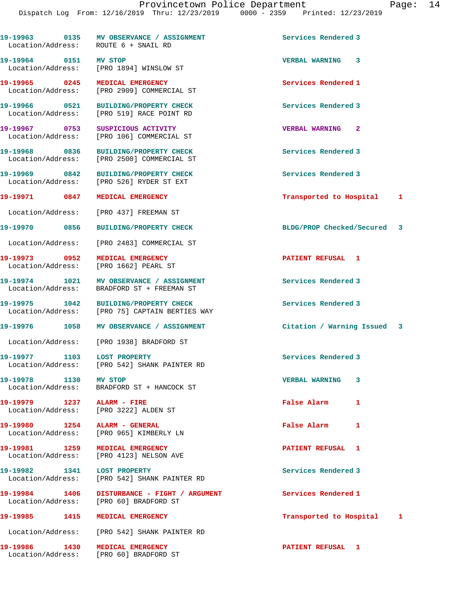|                                | Services Rendered 3                                                                                                                                                                                                                                                                                                                                                                                                                                                                                                                                                                                                                                                                                                                                                                                                                                                                                                                                                                                                                                                                                                                                                                                                                                                                                                                                                                                                                                                                                                                                                                                                                         |  |
|--------------------------------|---------------------------------------------------------------------------------------------------------------------------------------------------------------------------------------------------------------------------------------------------------------------------------------------------------------------------------------------------------------------------------------------------------------------------------------------------------------------------------------------------------------------------------------------------------------------------------------------------------------------------------------------------------------------------------------------------------------------------------------------------------------------------------------------------------------------------------------------------------------------------------------------------------------------------------------------------------------------------------------------------------------------------------------------------------------------------------------------------------------------------------------------------------------------------------------------------------------------------------------------------------------------------------------------------------------------------------------------------------------------------------------------------------------------------------------------------------------------------------------------------------------------------------------------------------------------------------------------------------------------------------------------|--|
|                                | VERBAL WARNING 3                                                                                                                                                                                                                                                                                                                                                                                                                                                                                                                                                                                                                                                                                                                                                                                                                                                                                                                                                                                                                                                                                                                                                                                                                                                                                                                                                                                                                                                                                                                                                                                                                            |  |
| <b>MEDICAL EMERGENCY</b>       | Services Rendered 1                                                                                                                                                                                                                                                                                                                                                                                                                                                                                                                                                                                                                                                                                                                                                                                                                                                                                                                                                                                                                                                                                                                                                                                                                                                                                                                                                                                                                                                                                                                                                                                                                         |  |
| <b>BUILDING/PROPERTY CHECK</b> | Services Rendered 3                                                                                                                                                                                                                                                                                                                                                                                                                                                                                                                                                                                                                                                                                                                                                                                                                                                                                                                                                                                                                                                                                                                                                                                                                                                                                                                                                                                                                                                                                                                                                                                                                         |  |
|                                | <b>VERBAL WARNING</b><br>$\mathbf{2}$                                                                                                                                                                                                                                                                                                                                                                                                                                                                                                                                                                                                                                                                                                                                                                                                                                                                                                                                                                                                                                                                                                                                                                                                                                                                                                                                                                                                                                                                                                                                                                                                       |  |
| <b>BUILDING/PROPERTY CHECK</b> | Services Rendered 3                                                                                                                                                                                                                                                                                                                                                                                                                                                                                                                                                                                                                                                                                                                                                                                                                                                                                                                                                                                                                                                                                                                                                                                                                                                                                                                                                                                                                                                                                                                                                                                                                         |  |
|                                | Services Rendered 3                                                                                                                                                                                                                                                                                                                                                                                                                                                                                                                                                                                                                                                                                                                                                                                                                                                                                                                                                                                                                                                                                                                                                                                                                                                                                                                                                                                                                                                                                                                                                                                                                         |  |
| MEDICAL EMERGENCY              | Transported to Hospital 1                                                                                                                                                                                                                                                                                                                                                                                                                                                                                                                                                                                                                                                                                                                                                                                                                                                                                                                                                                                                                                                                                                                                                                                                                                                                                                                                                                                                                                                                                                                                                                                                                   |  |
|                                |                                                                                                                                                                                                                                                                                                                                                                                                                                                                                                                                                                                                                                                                                                                                                                                                                                                                                                                                                                                                                                                                                                                                                                                                                                                                                                                                                                                                                                                                                                                                                                                                                                             |  |
| <b>BUILDING/PROPERTY CHECK</b> | BLDG/PROP Checked/Secured 3                                                                                                                                                                                                                                                                                                                                                                                                                                                                                                                                                                                                                                                                                                                                                                                                                                                                                                                                                                                                                                                                                                                                                                                                                                                                                                                                                                                                                                                                                                                                                                                                                 |  |
|                                |                                                                                                                                                                                                                                                                                                                                                                                                                                                                                                                                                                                                                                                                                                                                                                                                                                                                                                                                                                                                                                                                                                                                                                                                                                                                                                                                                                                                                                                                                                                                                                                                                                             |  |
| MEDICAL EMERGENCY              | PATIENT REFUSAL 1                                                                                                                                                                                                                                                                                                                                                                                                                                                                                                                                                                                                                                                                                                                                                                                                                                                                                                                                                                                                                                                                                                                                                                                                                                                                                                                                                                                                                                                                                                                                                                                                                           |  |
|                                | Services Rendered 3                                                                                                                                                                                                                                                                                                                                                                                                                                                                                                                                                                                                                                                                                                                                                                                                                                                                                                                                                                                                                                                                                                                                                                                                                                                                                                                                                                                                                                                                                                                                                                                                                         |  |
|                                | Services Rendered 3                                                                                                                                                                                                                                                                                                                                                                                                                                                                                                                                                                                                                                                                                                                                                                                                                                                                                                                                                                                                                                                                                                                                                                                                                                                                                                                                                                                                                                                                                                                                                                                                                         |  |
|                                | Citation / Warning Issued 3                                                                                                                                                                                                                                                                                                                                                                                                                                                                                                                                                                                                                                                                                                                                                                                                                                                                                                                                                                                                                                                                                                                                                                                                                                                                                                                                                                                                                                                                                                                                                                                                                 |  |
|                                |                                                                                                                                                                                                                                                                                                                                                                                                                                                                                                                                                                                                                                                                                                                                                                                                                                                                                                                                                                                                                                                                                                                                                                                                                                                                                                                                                                                                                                                                                                                                                                                                                                             |  |
|                                | Services Rendered 3                                                                                                                                                                                                                                                                                                                                                                                                                                                                                                                                                                                                                                                                                                                                                                                                                                                                                                                                                                                                                                                                                                                                                                                                                                                                                                                                                                                                                                                                                                                                                                                                                         |  |
|                                | <b>VERBAL WARNING 3</b>                                                                                                                                                                                                                                                                                                                                                                                                                                                                                                                                                                                                                                                                                                                                                                                                                                                                                                                                                                                                                                                                                                                                                                                                                                                                                                                                                                                                                                                                                                                                                                                                                     |  |
|                                | <b>False Alarm</b><br>1                                                                                                                                                                                                                                                                                                                                                                                                                                                                                                                                                                                                                                                                                                                                                                                                                                                                                                                                                                                                                                                                                                                                                                                                                                                                                                                                                                                                                                                                                                                                                                                                                     |  |
|                                | <b>False Alarm</b><br>1                                                                                                                                                                                                                                                                                                                                                                                                                                                                                                                                                                                                                                                                                                                                                                                                                                                                                                                                                                                                                                                                                                                                                                                                                                                                                                                                                                                                                                                                                                                                                                                                                     |  |
|                                | PATIENT REFUSAL 1                                                                                                                                                                                                                                                                                                                                                                                                                                                                                                                                                                                                                                                                                                                                                                                                                                                                                                                                                                                                                                                                                                                                                                                                                                                                                                                                                                                                                                                                                                                                                                                                                           |  |
|                                | Services Rendered 3                                                                                                                                                                                                                                                                                                                                                                                                                                                                                                                                                                                                                                                                                                                                                                                                                                                                                                                                                                                                                                                                                                                                                                                                                                                                                                                                                                                                                                                                                                                                                                                                                         |  |
|                                | Services Rendered 1                                                                                                                                                                                                                                                                                                                                                                                                                                                                                                                                                                                                                                                                                                                                                                                                                                                                                                                                                                                                                                                                                                                                                                                                                                                                                                                                                                                                                                                                                                                                                                                                                         |  |
|                                | Transported to Hospital<br>1                                                                                                                                                                                                                                                                                                                                                                                                                                                                                                                                                                                                                                                                                                                                                                                                                                                                                                                                                                                                                                                                                                                                                                                                                                                                                                                                                                                                                                                                                                                                                                                                                |  |
|                                |                                                                                                                                                                                                                                                                                                                                                                                                                                                                                                                                                                                                                                                                                                                                                                                                                                                                                                                                                                                                                                                                                                                                                                                                                                                                                                                                                                                                                                                                                                                                                                                                                                             |  |
|                                | 19-19963 0135 MV OBSERVANCE / ASSIGNMENT<br>Location/Address: ROUTE 6 + SNAIL RD<br>19-19964 0151 MV STOP<br>Location/Address: [PRO 1894] WINSLOW ST<br>19-19965 0245<br>Location/Address: [PRO 2909] COMMERCIAL ST<br>19-19966 0521<br>Location/Address: [PRO 519] RACE POINT RD<br>19-19967 0753 SUSPICIOUS ACTIVITY<br>Location/Address: [PRO 106] COMMERCIAL ST<br>19-19968 0836<br>Location/Address: [PRO 2500] COMMERCIAL ST<br>19-19969 0842 BUILDING/PROPERTY CHECK<br>Location/Address: [PRO 526] RYDER ST EXT<br>19-19971 0847<br>Location/Address: [PRO 437] FREEMAN ST<br>19-19970 0856<br>Location/Address: [PRO 2483] COMMERCIAL ST<br>19-19973 0952<br>Location/Address: [PRO 1662] PEARL ST<br>19-19974 1021 MV OBSERVANCE / ASSIGNMENT<br>Location/Address: BRADFORD ST + FREEMAN ST<br>19-19975 1042 BUILDING/PROPERTY CHECK<br>Location/Address: [PRO 75] CAPTAIN BERTIES WAY<br>19-19976 1058 MV OBSERVANCE / ASSIGNMENT<br>Location/Address: [PRO 1938] BRADFORD ST<br>19-19977 1103 LOST PROPERTY<br>Location/Address: [PRO 542] SHANK PAINTER RD<br>19-19978 1130 MV STOP<br>Location/Address: BRADFORD ST + HANCOCK ST<br>19-19979 1237 ALARM - FIRE<br>Location/Address: [PRO 3222] ALDEN ST<br>19-19980 1254 ALARM - GENERAL<br>Location/Address: [PRO 965] KIMBERLY LN<br>19-19981 1259 MEDICAL EMERGENCY<br>Location/Address: [PRO 4123] NELSON AVE<br>19-19982 1341 LOST PROPERTY<br>Location/Address: [PRO 542] SHANK PAINTER RD<br>19-19984 1406 DISTURBANCE - FIGHT / ARGUMENT<br>Location/Address: [PRO 60] BRADFORD ST<br>19-19985 1415 MEDICAL EMERGENCY<br>Location/Address: [PRO 542] SHANK PAINTER RD |  |

**19-19986 1430 MEDICAL EMERGENCY PATIENT REFUSAL 1** 

Location/Address: [PRO 60] BRADFORD ST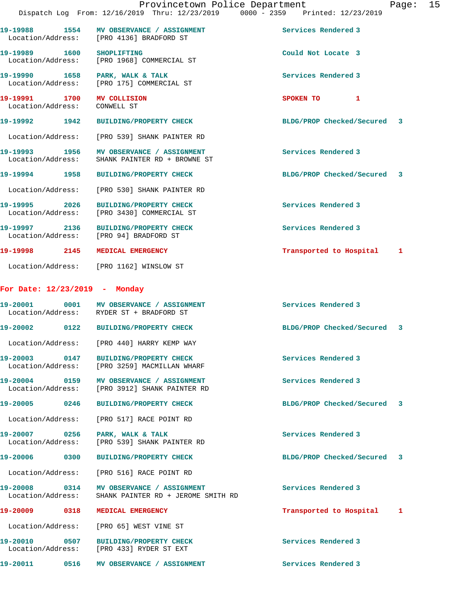|                                               | Provincetown Police Department<br>Dispatch Log From: 12/16/2019 Thru: 12/23/2019 0000 - 2359 Printed: 12/23/2019 |                             | Page: | 15 |
|-----------------------------------------------|------------------------------------------------------------------------------------------------------------------|-----------------------------|-------|----|
|                                               | 19-19988 1554 MV OBSERVANCE / ASSIGNMENT<br>Location/Address: [PRO 4136] BRADFORD ST                             | Services Rendered 3         |       |    |
| 19-19989 1600 SHOPLIFTING                     | Location/Address: [PRO 1968] COMMERCIAL ST                                                                       | Could Not Locate 3          |       |    |
|                                               | 19-19990 1658 PARK, WALK & TALK<br>Location/Address: [PRO 175] COMMERCIAL ST                                     | Services Rendered 3         |       |    |
| 19-19991 1700<br>Location/Address: CONWELL ST | <b>MV COLLISION</b>                                                                                              | SPOKEN TO 1                 |       |    |
| 19-19992 1942                                 | <b>BUILDING/PROPERTY CHECK</b>                                                                                   | BLDG/PROP Checked/Secured 3 |       |    |
| Location/Address:                             | [PRO 539] SHANK PAINTER RD                                                                                       |                             |       |    |
|                                               | 19-19993 1956 MV OBSERVANCE / ASSIGNMENT<br>Location/Address: SHANK PAINTER RD + BROWNE ST                       | Services Rendered 3         |       |    |
|                                               | 19-19994 1958 BUILDING/PROPERTY CHECK                                                                            | BLDG/PROP Checked/Secured 3 |       |    |
|                                               | Location/Address: [PRO 530] SHANK PAINTER RD                                                                     |                             |       |    |
|                                               | 19-19995 2026 BUILDING/PROPERTY CHECK<br>Location/Address: [PRO 3430] COMMERCIAL ST                              | Services Rendered 3         |       |    |
|                                               | 19-19997 2136 BUILDING/PROPERTY CHECK<br>Location/Address: [PRO 94] BRADFORD ST                                  | Services Rendered 3         |       |    |
|                                               | 19-19998 2145 MEDICAL EMERGENCY                                                                                  | Transported to Hospital 1   |       |    |
|                                               | Location/Address: [PRO 1162] WINSLOW ST                                                                          |                             |       |    |
| For Date: 12/23/2019 - Monday                 |                                                                                                                  |                             |       |    |
|                                               | 19-20001 0001 MV OBSERVANCE / ASSIGNMENT<br>Location/Address: RYDER ST + BRADFORD ST                             | Services Rendered 3         |       |    |
|                                               | 19-20002 0122 BUILDING/PROPERTY CHECK                                                                            | BLDG/PROP Checked/Secured 3 |       |    |
|                                               | Location/Address: [PRO 440] HARRY KEMP WAY                                                                       |                             |       |    |
|                                               | 19-20003 0147 BUILDING/PROPERTY CHECK<br>Location/Address: [PRO 3259] MACMILLAN WHARF                            | Services Rendered 3         |       |    |
| 19-20004 0159<br>Location/Address:            | MV OBSERVANCE / ASSIGNMENT<br>[PRO 3912] SHANK PAINTER RD                                                        | Services Rendered 3         |       |    |
| 19-20005 0246                                 | <b>BUILDING/PROPERTY CHECK</b>                                                                                   | BLDG/PROP Checked/Secured 3 |       |    |
| Location/Address:                             | [PRO 517] RACE POINT RD                                                                                          |                             |       |    |
| Location/Address:                             | 19-20007 0256 PARK, WALK & TALK<br>[PRO 539] SHANK PAINTER RD                                                    | Services Rendered 3         |       |    |
| 19-20006 0300                                 | <b>BUILDING/PROPERTY CHECK</b>                                                                                   | BLDG/PROP Checked/Secured 3 |       |    |
| Location/Address:                             | [PRO 516] RACE POINT RD                                                                                          |                             |       |    |
|                                               | 19-20008 0314 MV OBSERVANCE / ASSIGNMENT<br>Location/Address: SHANK PAINTER RD + JEROME SMITH RD                 | Services Rendered 3         |       |    |
| 19-20009 0318                                 | <b>MEDICAL EMERGENCY</b>                                                                                         | Transported to Hospital     | 1     |    |
| Location/Address:                             | [PRO 65] WEST VINE ST                                                                                            |                             |       |    |
|                                               | 19-20010 0507 BUILDING/PROPERTY CHECK<br>Location/Address: [PRO 433] RYDER ST EXT                                | Services Rendered 3         |       |    |
|                                               | 19-20011 0516 MV OBSERVANCE / ASSIGNMENT                                                                         | Services Rendered 3         |       |    |
|                                               |                                                                                                                  |                             |       |    |